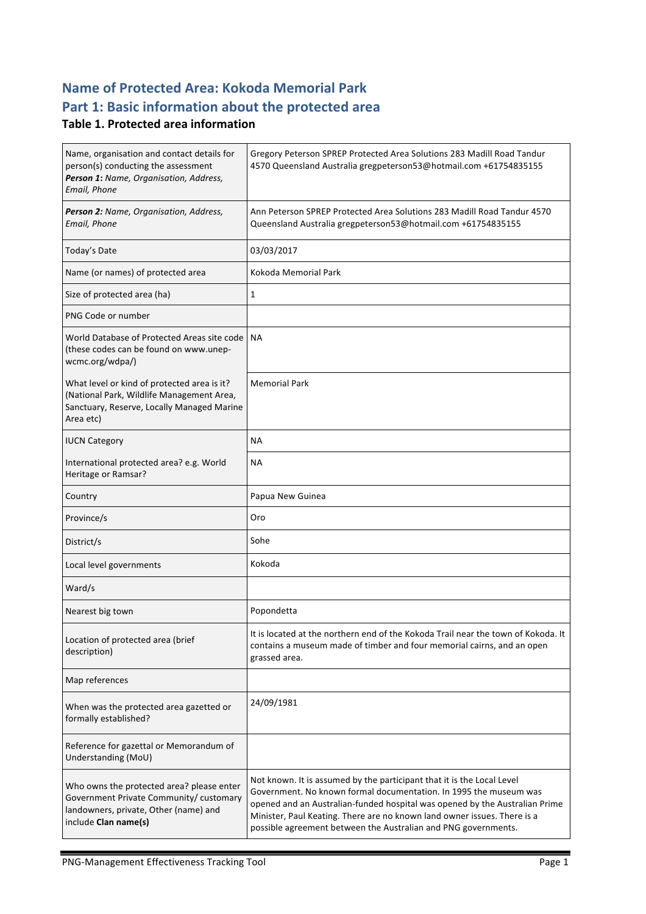# **Name of Protected Area: Kokoda Memorial Park** Part 1: Basic information about the protected area

#### **Table 1. Protected area information**

| Name, organisation and contact details for<br>person(s) conducting the assessment<br>Person 1: Name, Organisation, Address,<br>Email, Phone           | Gregory Peterson SPREP Protected Area Solutions 283 Madill Road Tandur<br>4570 Queensland Australia gregpeterson53@hotmail.com +61754835155                                                                                                                                                                                                                              |
|-------------------------------------------------------------------------------------------------------------------------------------------------------|--------------------------------------------------------------------------------------------------------------------------------------------------------------------------------------------------------------------------------------------------------------------------------------------------------------------------------------------------------------------------|
| Person 2: Name, Organisation, Address,<br>Email, Phone                                                                                                | Ann Peterson SPREP Protected Area Solutions 283 Madill Road Tandur 4570<br>Queensland Australia gregpeterson53@hotmail.com +61754835155                                                                                                                                                                                                                                  |
| Today's Date                                                                                                                                          | 03/03/2017                                                                                                                                                                                                                                                                                                                                                               |
| Name (or names) of protected area                                                                                                                     | Kokoda Memorial Park                                                                                                                                                                                                                                                                                                                                                     |
| Size of protected area (ha)                                                                                                                           | 1                                                                                                                                                                                                                                                                                                                                                                        |
| PNG Code or number                                                                                                                                    |                                                                                                                                                                                                                                                                                                                                                                          |
| World Database of Protected Areas site code   NA<br>(these codes can be found on www.unep-<br>wcmc.org/wdpa/)                                         |                                                                                                                                                                                                                                                                                                                                                                          |
| What level or kind of protected area is it?<br>(National Park, Wildlife Management Area,<br>Sanctuary, Reserve, Locally Managed Marine<br>Area etc)   | <b>Memorial Park</b>                                                                                                                                                                                                                                                                                                                                                     |
| <b>IUCN Category</b>                                                                                                                                  | <b>NA</b>                                                                                                                                                                                                                                                                                                                                                                |
| International protected area? e.g. World<br>Heritage or Ramsar?                                                                                       | <b>NA</b>                                                                                                                                                                                                                                                                                                                                                                |
| Country                                                                                                                                               | Papua New Guinea                                                                                                                                                                                                                                                                                                                                                         |
| Province/s                                                                                                                                            | Oro                                                                                                                                                                                                                                                                                                                                                                      |
| District/s                                                                                                                                            | Sohe                                                                                                                                                                                                                                                                                                                                                                     |
| Local level governments                                                                                                                               | Kokoda                                                                                                                                                                                                                                                                                                                                                                   |
| Ward/s                                                                                                                                                |                                                                                                                                                                                                                                                                                                                                                                          |
| Nearest big town                                                                                                                                      | Popondetta                                                                                                                                                                                                                                                                                                                                                               |
| Location of protected area (brief<br>description)                                                                                                     | It is located at the northern end of the Kokoda Trail near the town of Kokoda. It<br>contains a museum made of timber and four memorial cairns, and an open<br>grassed area.                                                                                                                                                                                             |
| Map references                                                                                                                                        |                                                                                                                                                                                                                                                                                                                                                                          |
| When was the protected area gazetted or<br>formally established?                                                                                      | 24/09/1981                                                                                                                                                                                                                                                                                                                                                               |
| Reference for gazettal or Memorandum of<br>Understanding (MoU)                                                                                        |                                                                                                                                                                                                                                                                                                                                                                          |
| Who owns the protected area? please enter<br>Government Private Community/ customary<br>landowners, private, Other (name) and<br>include Clan name(s) | Not known. It is assumed by the participant that it is the Local Level<br>Government. No known formal documentation. In 1995 the museum was<br>opened and an Australian-funded hospital was opened by the Australian Prime<br>Minister, Paul Keating. There are no known land owner issues. There is a<br>possible agreement between the Australian and PNG governments. |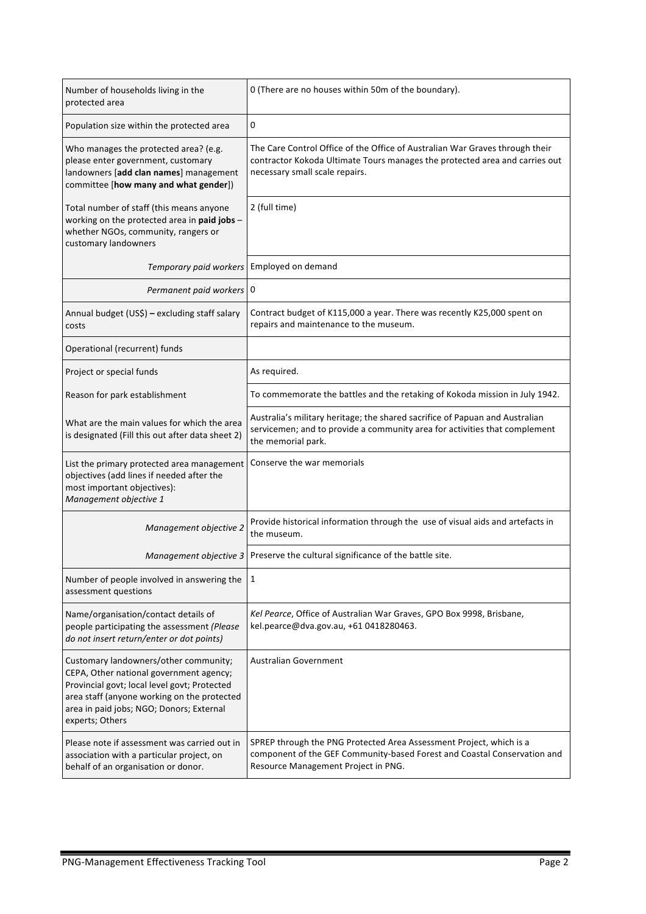| Number of households living in the<br>protected area                                                                                                                                                                                           | 0 (There are no houses within 50m of the boundary).                                                                                                                                           |  |
|------------------------------------------------------------------------------------------------------------------------------------------------------------------------------------------------------------------------------------------------|-----------------------------------------------------------------------------------------------------------------------------------------------------------------------------------------------|--|
| Population size within the protected area                                                                                                                                                                                                      | 0                                                                                                                                                                                             |  |
| Who manages the protected area? (e.g.<br>please enter government, customary<br>landowners [add clan names] management<br>committee [how many and what gender])                                                                                 | The Care Control Office of the Office of Australian War Graves through their<br>contractor Kokoda Ultimate Tours manages the protected area and carries out<br>necessary small scale repairs. |  |
| Total number of staff (this means anyone<br>working on the protected area in paid jobs -<br>whether NGOs, community, rangers or<br>customary landowners                                                                                        | 2 (full time)                                                                                                                                                                                 |  |
| Temporary paid workers                                                                                                                                                                                                                         | Employed on demand                                                                                                                                                                            |  |
| Permanent paid workers 0                                                                                                                                                                                                                       |                                                                                                                                                                                               |  |
| Annual budget (US\$) - excluding staff salary<br>costs                                                                                                                                                                                         | Contract budget of K115,000 a year. There was recently K25,000 spent on<br>repairs and maintenance to the museum.                                                                             |  |
| Operational (recurrent) funds                                                                                                                                                                                                                  |                                                                                                                                                                                               |  |
| Project or special funds                                                                                                                                                                                                                       | As required.                                                                                                                                                                                  |  |
| Reason for park establishment                                                                                                                                                                                                                  | To commemorate the battles and the retaking of Kokoda mission in July 1942.                                                                                                                   |  |
| What are the main values for which the area<br>is designated (Fill this out after data sheet 2)                                                                                                                                                | Australia's military heritage; the shared sacrifice of Papuan and Australian<br>servicemen; and to provide a community area for activities that complement<br>the memorial park.              |  |
| List the primary protected area management<br>objectives (add lines if needed after the<br>most important objectives):<br>Management objective 1                                                                                               | Conserve the war memorials                                                                                                                                                                    |  |
| Management objective 2                                                                                                                                                                                                                         | Provide historical information through the use of visual aids and artefacts in<br>the museum.                                                                                                 |  |
| Management objective 3                                                                                                                                                                                                                         | Preserve the cultural significance of the battle site.                                                                                                                                        |  |
| Number of people involved in answering the<br>assessment questions                                                                                                                                                                             | 1                                                                                                                                                                                             |  |
| Name/organisation/contact details of<br>people participating the assessment (Please<br>do not insert return/enter or dot points)                                                                                                               | Kel Pearce, Office of Australian War Graves, GPO Box 9998, Brisbane,<br>kel.pearce@dva.gov.au, +61 0418280463.                                                                                |  |
| Customary landowners/other community;<br>CEPA, Other national government agency;<br>Provincial govt; local level govt; Protected<br>area staff (anyone working on the protected<br>area in paid jobs; NGO; Donors; External<br>experts; Others | <b>Australian Government</b>                                                                                                                                                                  |  |
| Please note if assessment was carried out in<br>association with a particular project, on<br>behalf of an organisation or donor.                                                                                                               | SPREP through the PNG Protected Area Assessment Project, which is a<br>component of the GEF Community-based Forest and Coastal Conservation and<br>Resource Management Project in PNG.        |  |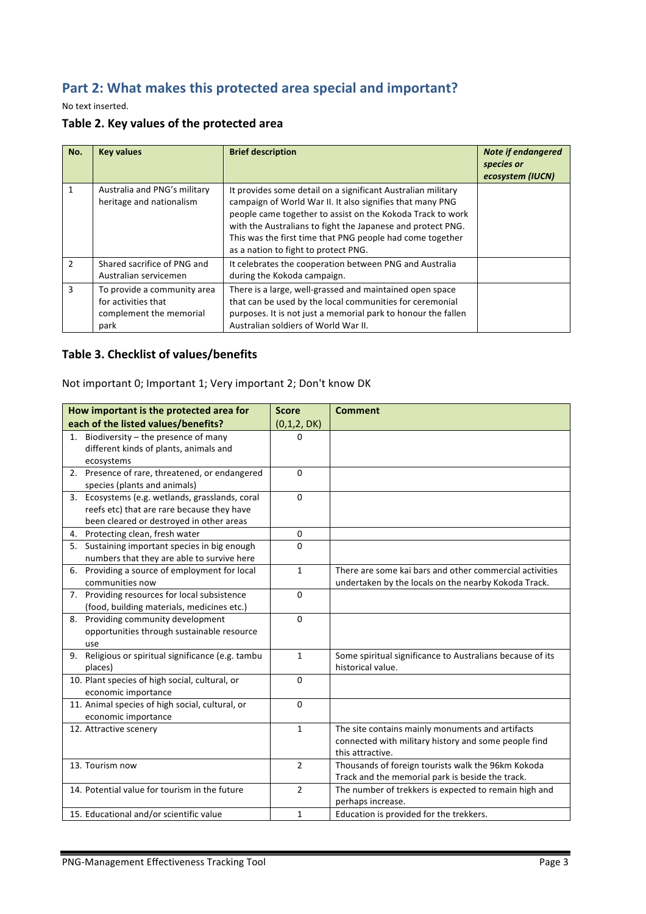# Part 2: What makes this protected area special and important?

No text inserted.

|  |  | Table 2. Key values of the protected area |  |  |
|--|--|-------------------------------------------|--|--|
|--|--|-------------------------------------------|--|--|

| No.           | <b>Key values</b>                                                                     | <b>Brief description</b>                                                                                                                                                                                                                                                                                                                                    | <b>Note if endangered</b><br>species or<br>ecosystem (IUCN) |
|---------------|---------------------------------------------------------------------------------------|-------------------------------------------------------------------------------------------------------------------------------------------------------------------------------------------------------------------------------------------------------------------------------------------------------------------------------------------------------------|-------------------------------------------------------------|
| 1             | Australia and PNG's military<br>heritage and nationalism                              | It provides some detail on a significant Australian military<br>campaign of World War II. It also signifies that many PNG<br>people came together to assist on the Kokoda Track to work<br>with the Australians to fight the Japanese and protect PNG.<br>This was the first time that PNG people had come together<br>as a nation to fight to protect PNG. |                                                             |
| $\mathcal{P}$ | Shared sacrifice of PNG and<br>Australian servicemen                                  | It celebrates the cooperation between PNG and Australia<br>during the Kokoda campaign.                                                                                                                                                                                                                                                                      |                                                             |
| 3             | To provide a community area<br>for activities that<br>complement the memorial<br>park | There is a large, well-grassed and maintained open space<br>that can be used by the local communities for ceremonial<br>purposes. It is not just a memorial park to honour the fallen<br>Australian soldiers of World War II.                                                                                                                               |                                                             |

### **Table 3. Checklist of values/benefits**

Not important 0; Important 1; Very important 2; Don't know DK

| How important is the protected area for            | <b>Score</b>   | <b>Comment</b>                                            |
|----------------------------------------------------|----------------|-----------------------------------------------------------|
| each of the listed values/benefits?                | (0,1,2,DK)     |                                                           |
| 1. Biodiversity - the presence of many             | 0              |                                                           |
| different kinds of plants, animals and             |                |                                                           |
| ecosystems                                         |                |                                                           |
| 2. Presence of rare, threatened, or endangered     | $\Omega$       |                                                           |
| species (plants and animals)                       |                |                                                           |
| 3. Ecosystems (e.g. wetlands, grasslands, coral    | $\Omega$       |                                                           |
| reefs etc) that are rare because they have         |                |                                                           |
| been cleared or destroyed in other areas           |                |                                                           |
| 4. Protecting clean, fresh water                   | 0              |                                                           |
| 5. Sustaining important species in big enough      | $\Omega$       |                                                           |
| numbers that they are able to survive here         |                |                                                           |
| 6. Providing a source of employment for local      | $\mathbf{1}$   | There are some kai bars and other commercial activities   |
| communities now                                    |                | undertaken by the locals on the nearby Kokoda Track.      |
| 7. Providing resources for local subsistence       | $\mathbf 0$    |                                                           |
| (food, building materials, medicines etc.)         |                |                                                           |
| 8. Providing community development                 | $\Omega$       |                                                           |
| opportunities through sustainable resource         |                |                                                           |
| use                                                |                |                                                           |
| 9. Religious or spiritual significance (e.g. tambu | $\mathbf{1}$   | Some spiritual significance to Australians because of its |
| places)                                            |                | historical value.                                         |
| 10. Plant species of high social, cultural, or     | 0              |                                                           |
| economic importance                                |                |                                                           |
| 11. Animal species of high social, cultural, or    | $\Omega$       |                                                           |
| economic importance                                |                |                                                           |
| 12. Attractive scenery                             | $\mathbf{1}$   | The site contains mainly monuments and artifacts          |
|                                                    |                | connected with military history and some people find      |
|                                                    |                | this attractive.                                          |
| 13. Tourism now                                    | $\overline{2}$ | Thousands of foreign tourists walk the 96km Kokoda        |
|                                                    |                | Track and the memorial park is beside the track.          |
| 14. Potential value for tourism in the future      | $\overline{2}$ | The number of trekkers is expected to remain high and     |
|                                                    |                | perhaps increase.                                         |
| 15. Educational and/or scientific value            | $\mathbf{1}$   | Education is provided for the trekkers.                   |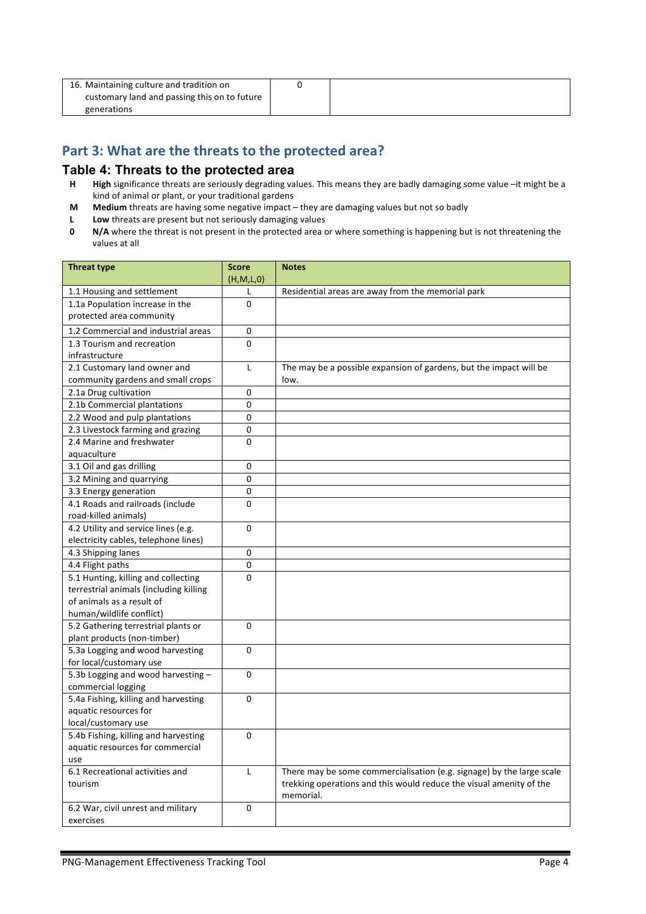| 16. Maintaining culture and tradition on     |  |
|----------------------------------------------|--|
| customary land and passing this on to future |  |
| generations                                  |  |

## Part 3: What are the threats to the protected area?

#### **Table 4: Threats to the protected area**

- **H High** significance threats are seriously degrading values. This means they are badly damaging some value –it might be a kind of animal or plant, or your traditional gardens
- **M** Medium threats are having some negative impact they are damaging values but not so badly
- **L** Low threats are present but not seriously damaging values<br>**0** N/A where the threat is not present in the protected area of
- **N/A** where the threat is not present in the protected area or where something is happening but is not threatening the values at all

| <b>Threat type</b>                                              | <b>Score</b>   | <b>Notes</b>                                                          |
|-----------------------------------------------------------------|----------------|-----------------------------------------------------------------------|
|                                                                 | (H,M,L,0)      |                                                                       |
| 1.1 Housing and settlement                                      | L              | Residential areas are away from the memorial park                     |
| 1.1a Population increase in the                                 | $\Omega$       |                                                                       |
| protected area community                                        |                |                                                                       |
| 1.2 Commercial and industrial areas                             | 0              |                                                                       |
| 1.3 Tourism and recreation                                      | 0              |                                                                       |
| infrastructure                                                  |                |                                                                       |
| 2.1 Customary land owner and                                    | L              | The may be a possible expansion of gardens, but the impact will be    |
| community gardens and small crops                               |                | low.                                                                  |
| 2.1a Drug cultivation                                           | 0              |                                                                       |
| 2.1b Commercial plantations                                     | 0              |                                                                       |
| 2.2 Wood and pulp plantations                                   | 0              |                                                                       |
| 2.3 Livestock farming and grazing                               | 0              |                                                                       |
| 2.4 Marine and freshwater                                       | $\mathbf 0$    |                                                                       |
| aquaculture                                                     |                |                                                                       |
| 3.1 Oil and gas drilling                                        | 0              |                                                                       |
| 3.2 Mining and quarrying                                        | $\mathbf 0$    |                                                                       |
| 3.3 Energy generation                                           | 0              |                                                                       |
| 4.1 Roads and railroads (include                                | $\mathbf 0$    |                                                                       |
| road-killed animals)                                            |                |                                                                       |
| 4.2 Utility and service lines (e.g.                             | $\mathbf 0$    |                                                                       |
| electricity cables, telephone lines)                            |                |                                                                       |
| 4.3 Shipping lanes                                              | $\Omega$       |                                                                       |
| 4.4 Flight paths                                                | 0              |                                                                       |
| 5.1 Hunting, killing and collecting                             | $\overline{0}$ |                                                                       |
| terrestrial animals (including killing                          |                |                                                                       |
| of animals as a result of                                       |                |                                                                       |
| human/wildlife conflict)                                        |                |                                                                       |
| 5.2 Gathering terrestrial plants or                             | $\mathbf 0$    |                                                                       |
| plant products (non-timber)<br>5.3a Logging and wood harvesting | $\mathbf{0}$   |                                                                       |
| for local/customary use                                         |                |                                                                       |
| 5.3b Logging and wood harvesting -                              | $\mathbf 0$    |                                                                       |
| commercial logging                                              |                |                                                                       |
| 5.4a Fishing, killing and harvesting                            | $\Omega$       |                                                                       |
| aquatic resources for                                           |                |                                                                       |
| local/customary use                                             |                |                                                                       |
| 5.4b Fishing, killing and harvesting                            | 0              |                                                                       |
| aquatic resources for commercial                                |                |                                                                       |
| use                                                             |                |                                                                       |
| 6.1 Recreational activities and                                 | $\mathsf{L}$   | There may be some commercialisation (e.g. signage) by the large scale |
| tourism                                                         |                | trekking operations and this would reduce the visual amenity of the   |
|                                                                 |                | memorial.                                                             |
| 6.2 War, civil unrest and military                              | 0              |                                                                       |
| exercises                                                       |                |                                                                       |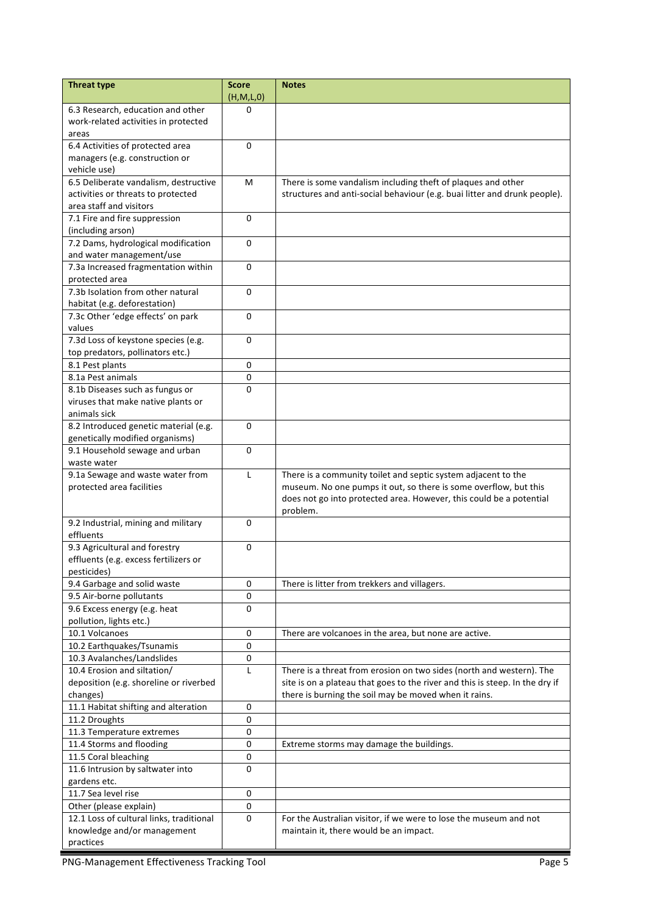| <b>Threat type</b>                         | <b>Score</b><br>(H, M, L, 0) | <b>Notes</b>                                                                 |
|--------------------------------------------|------------------------------|------------------------------------------------------------------------------|
| 6.3 Research, education and other          | 0                            |                                                                              |
| work-related activities in protected       |                              |                                                                              |
| areas                                      |                              |                                                                              |
| 6.4 Activities of protected area           | 0                            |                                                                              |
| managers (e.g. construction or             |                              |                                                                              |
| vehicle use)                               |                              |                                                                              |
| 6.5 Deliberate vandalism, destructive      | м                            | There is some vandalism including theft of plaques and other                 |
| activities or threats to protected         |                              | structures and anti-social behaviour (e.g. buai litter and drunk people).    |
| area staff and visitors                    |                              |                                                                              |
| 7.1 Fire and fire suppression              | $\Omega$                     |                                                                              |
| (including arson)                          |                              |                                                                              |
| 7.2 Dams, hydrological modification        | $\mathbf 0$                  |                                                                              |
| and water management/use                   |                              |                                                                              |
| 7.3a Increased fragmentation within        | 0                            |                                                                              |
| protected area                             |                              |                                                                              |
| 7.3b Isolation from other natural          | 0                            |                                                                              |
| habitat (e.g. deforestation)               |                              |                                                                              |
| 7.3c Other 'edge effects' on park          | $\mathbf{0}$                 |                                                                              |
| values                                     |                              |                                                                              |
| 7.3d Loss of keystone species (e.g.        | $\mathbf 0$                  |                                                                              |
| top predators, pollinators etc.)           |                              |                                                                              |
| 8.1 Pest plants<br>8.1a Pest animals       | 0<br>0                       |                                                                              |
| 8.1b Diseases such as fungus or            | 0                            |                                                                              |
| viruses that make native plants or         |                              |                                                                              |
| animals sick                               |                              |                                                                              |
| 8.2 Introduced genetic material (e.g.      | 0                            |                                                                              |
| genetically modified organisms)            |                              |                                                                              |
| 9.1 Household sewage and urban             | 0                            |                                                                              |
| waste water                                |                              |                                                                              |
| 9.1a Sewage and waste water from           | L                            | There is a community toilet and septic system adjacent to the                |
| protected area facilities                  |                              | museum. No one pumps it out, so there is some overflow, but this             |
|                                            |                              | does not go into protected area. However, this could be a potential          |
|                                            |                              | problem.                                                                     |
| 9.2 Industrial, mining and military        | 0                            |                                                                              |
| effluents                                  |                              |                                                                              |
| 9.3 Agricultural and forestry              | 0                            |                                                                              |
| effluents (e.g. excess fertilizers or      |                              |                                                                              |
| pesticides)<br>9.4 Garbage and solid waste | 0                            | There is litter from trekkers and villagers.                                 |
| 9.5 Air-borne pollutants                   | 0                            |                                                                              |
| 9.6 Excess energy (e.g. heat               | 0                            |                                                                              |
| pollution, lights etc.)                    |                              |                                                                              |
| 10.1 Volcanoes                             | $\mathbf 0$                  | There are volcanoes in the area, but none are active.                        |
| 10.2 Earthquakes/Tsunamis                  | 0                            |                                                                              |
| 10.3 Avalanches/Landslides                 | 0                            |                                                                              |
| 10.4 Erosion and siltation/                | L                            | There is a threat from erosion on two sides (north and western). The         |
| deposition (e.g. shoreline or riverbed     |                              | site is on a plateau that goes to the river and this is steep. In the dry if |
| changes)                                   |                              | there is burning the soil may be moved when it rains.                        |
| 11.1 Habitat shifting and alteration       | 0                            |                                                                              |
| 11.2 Droughts                              | 0                            |                                                                              |
| 11.3 Temperature extremes                  | 0                            |                                                                              |
| 11.4 Storms and flooding                   | 0                            | Extreme storms may damage the buildings.                                     |
| 11.5 Coral bleaching                       | 0                            |                                                                              |
| 11.6 Intrusion by saltwater into           | 0                            |                                                                              |
| gardens etc.                               |                              |                                                                              |
| 11.7 Sea level rise                        | 0                            |                                                                              |
| Other (please explain)                     | 0                            |                                                                              |
| 12.1 Loss of cultural links, traditional   | 0                            | For the Australian visitor, if we were to lose the museum and not            |
| knowledge and/or management                |                              | maintain it, there would be an impact.                                       |
| practices                                  |                              |                                                                              |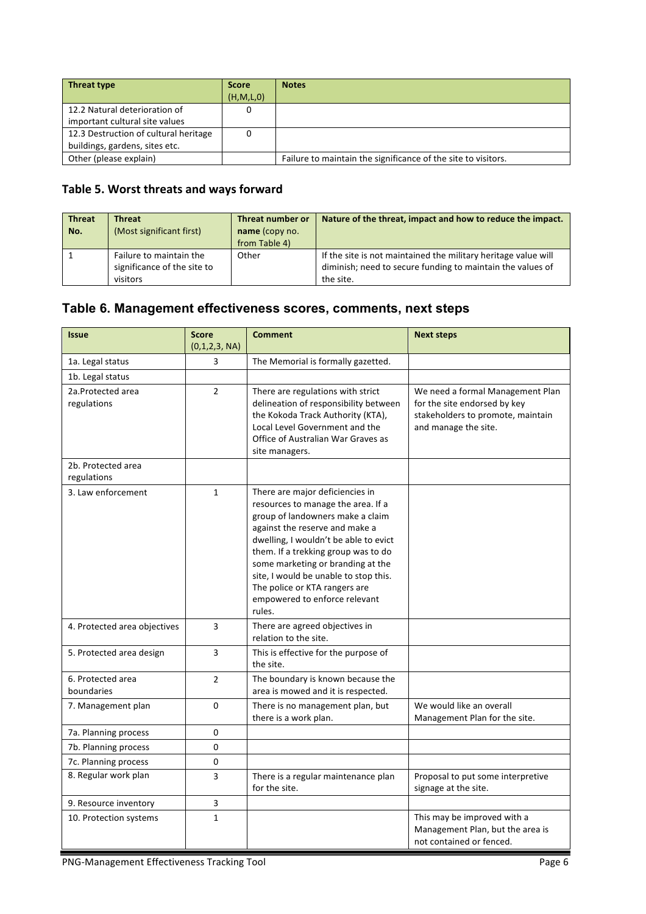| Threat type                           | <b>Score</b> | <b>Notes</b>                                                  |
|---------------------------------------|--------------|---------------------------------------------------------------|
|                                       | (H, M, L, 0) |                                                               |
| 12.2 Natural deterioration of         |              |                                                               |
| important cultural site values        |              |                                                               |
| 12.3 Destruction of cultural heritage |              |                                                               |
| buildings, gardens, sites etc.        |              |                                                               |
| Other (please explain)                |              | Failure to maintain the significance of the site to visitors. |

## Table 5. Worst threats and ways forward

| <b>Threat</b><br>No. | <b>Threat</b><br>(Most significant first)                          | Threat number or<br>name (copy no.<br>from Table 4) | Nature of the threat, impact and how to reduce the impact.                                                                                |
|----------------------|--------------------------------------------------------------------|-----------------------------------------------------|-------------------------------------------------------------------------------------------------------------------------------------------|
|                      | Failure to maintain the<br>significance of the site to<br>visitors | Other                                               | If the site is not maintained the military heritage value will<br>diminish; need to secure funding to maintain the values of<br>the site. |

# **Table 6. Management effectiveness scores, comments, next steps**

| <b>Issue</b>                      | <b>Score</b><br>(0,1,2,3, NA) | <b>Comment</b>                                                                                                                                                                                                                                                                                                                                                                        | <b>Next steps</b>                                                                                                             |
|-----------------------------------|-------------------------------|---------------------------------------------------------------------------------------------------------------------------------------------------------------------------------------------------------------------------------------------------------------------------------------------------------------------------------------------------------------------------------------|-------------------------------------------------------------------------------------------------------------------------------|
| 1a. Legal status                  | 3                             | The Memorial is formally gazetted.                                                                                                                                                                                                                                                                                                                                                    |                                                                                                                               |
| 1b. Legal status                  |                               |                                                                                                                                                                                                                                                                                                                                                                                       |                                                                                                                               |
| 2a.Protected area<br>regulations  | $\overline{2}$                | There are regulations with strict<br>delineation of responsibility between<br>the Kokoda Track Authority (KTA),<br>Local Level Government and the<br>Office of Australian War Graves as<br>site managers.                                                                                                                                                                             | We need a formal Management Plan<br>for the site endorsed by key<br>stakeholders to promote, maintain<br>and manage the site. |
| 2b. Protected area<br>regulations |                               |                                                                                                                                                                                                                                                                                                                                                                                       |                                                                                                                               |
| 3. Law enforcement                | $\mathbf{1}$                  | There are major deficiencies in<br>resources to manage the area. If a<br>group of landowners make a claim<br>against the reserve and make a<br>dwelling, I wouldn't be able to evict<br>them. If a trekking group was to do<br>some marketing or branding at the<br>site, I would be unable to stop this.<br>The police or KTA rangers are<br>empowered to enforce relevant<br>rules. |                                                                                                                               |
| 4. Protected area objectives      | 3                             | There are agreed objectives in<br>relation to the site.                                                                                                                                                                                                                                                                                                                               |                                                                                                                               |
| 5. Protected area design          | 3                             | This is effective for the purpose of<br>the site.                                                                                                                                                                                                                                                                                                                                     |                                                                                                                               |
| 6. Protected area<br>boundaries   | $\overline{2}$                | The boundary is known because the<br>area is mowed and it is respected.                                                                                                                                                                                                                                                                                                               |                                                                                                                               |
| 7. Management plan                | 0                             | There is no management plan, but<br>there is a work plan.                                                                                                                                                                                                                                                                                                                             | We would like an overall<br>Management Plan for the site.                                                                     |
| 7a. Planning process              | 0                             |                                                                                                                                                                                                                                                                                                                                                                                       |                                                                                                                               |
| 7b. Planning process              | 0                             |                                                                                                                                                                                                                                                                                                                                                                                       |                                                                                                                               |
| 7c. Planning process              | 0                             |                                                                                                                                                                                                                                                                                                                                                                                       |                                                                                                                               |
| 8. Regular work plan              | 3                             | There is a regular maintenance plan<br>for the site.                                                                                                                                                                                                                                                                                                                                  | Proposal to put some interpretive<br>signage at the site.                                                                     |
| 9. Resource inventory             | 3                             |                                                                                                                                                                                                                                                                                                                                                                                       |                                                                                                                               |
| 10. Protection systems            | $\mathbf{1}$                  |                                                                                                                                                                                                                                                                                                                                                                                       | This may be improved with a<br>Management Plan, but the area is<br>not contained or fenced.                                   |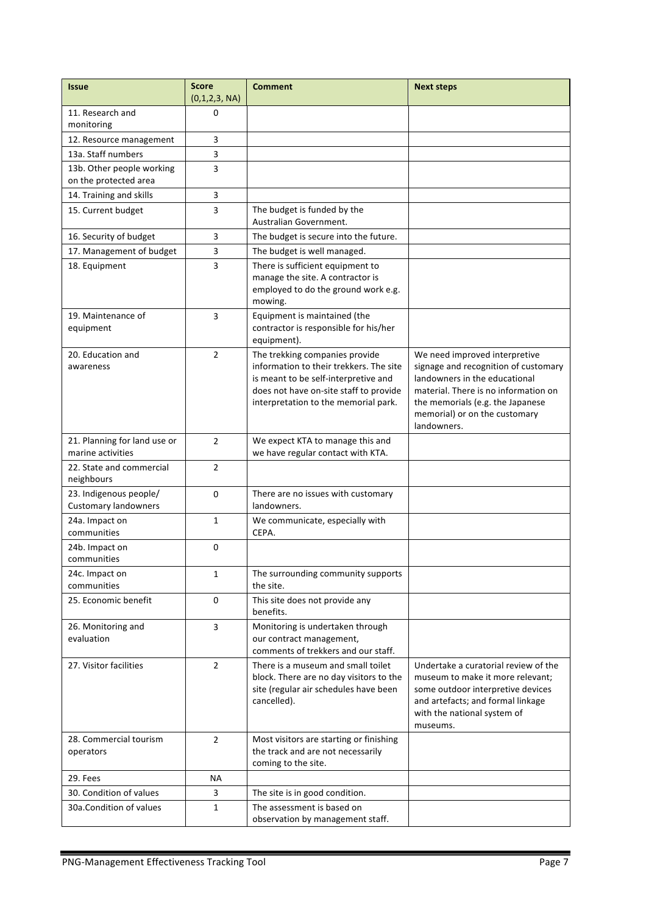| <b>Issue</b>                                          | <b>Score</b><br>(0,1,2,3, NA) | <b>Comment</b>                                                                                                                                                                                      | <b>Next steps</b>                                                                                                                                                                                                                  |
|-------------------------------------------------------|-------------------------------|-----------------------------------------------------------------------------------------------------------------------------------------------------------------------------------------------------|------------------------------------------------------------------------------------------------------------------------------------------------------------------------------------------------------------------------------------|
| 11. Research and<br>monitoring                        | 0                             |                                                                                                                                                                                                     |                                                                                                                                                                                                                                    |
| 12. Resource management                               | 3                             |                                                                                                                                                                                                     |                                                                                                                                                                                                                                    |
| 13a. Staff numbers                                    | 3                             |                                                                                                                                                                                                     |                                                                                                                                                                                                                                    |
| 13b. Other people working<br>on the protected area    | 3                             |                                                                                                                                                                                                     |                                                                                                                                                                                                                                    |
| 14. Training and skills                               | 3                             |                                                                                                                                                                                                     |                                                                                                                                                                                                                                    |
| 15. Current budget                                    | 3                             | The budget is funded by the<br>Australian Government.                                                                                                                                               |                                                                                                                                                                                                                                    |
| 16. Security of budget                                | 3                             | The budget is secure into the future.                                                                                                                                                               |                                                                                                                                                                                                                                    |
| 17. Management of budget                              | 3                             | The budget is well managed.                                                                                                                                                                         |                                                                                                                                                                                                                                    |
| 18. Equipment                                         | 3                             | There is sufficient equipment to<br>manage the site. A contractor is<br>employed to do the ground work e.g.<br>mowing.                                                                              |                                                                                                                                                                                                                                    |
| 19. Maintenance of<br>equipment                       | 3                             | Equipment is maintained (the<br>contractor is responsible for his/her<br>equipment).                                                                                                                |                                                                                                                                                                                                                                    |
| 20. Education and<br>awareness                        | $\overline{2}$                | The trekking companies provide<br>information to their trekkers. The site<br>is meant to be self-interpretive and<br>does not have on-site staff to provide<br>interpretation to the memorial park. | We need improved interpretive<br>signage and recognition of customary<br>landowners in the educational<br>material. There is no information on<br>the memorials (e.g. the Japanese<br>memorial) or on the customary<br>landowners. |
| 21. Planning for land use or<br>marine activities     | $\overline{2}$                | We expect KTA to manage this and<br>we have regular contact with KTA.                                                                                                                               |                                                                                                                                                                                                                                    |
| 22. State and commercial<br>neighbours                | $\overline{2}$                |                                                                                                                                                                                                     |                                                                                                                                                                                                                                    |
| 23. Indigenous people/<br><b>Customary landowners</b> | 0                             | There are no issues with customary<br>landowners.                                                                                                                                                   |                                                                                                                                                                                                                                    |
| 24a. Impact on<br>communities                         | 1                             | We communicate, especially with<br>CEPA.                                                                                                                                                            |                                                                                                                                                                                                                                    |
| 24b. Impact on<br>communities                         | 0                             |                                                                                                                                                                                                     |                                                                                                                                                                                                                                    |
| 24c. Impact on<br>communities                         | $\mathbf{1}$                  | The surrounding community supports<br>the site.                                                                                                                                                     |                                                                                                                                                                                                                                    |
| 25. Economic benefit                                  | 0                             | This site does not provide any<br>benefits.                                                                                                                                                         |                                                                                                                                                                                                                                    |
| 26. Monitoring and<br>evaluation                      | 3                             | Monitoring is undertaken through<br>our contract management,<br>comments of trekkers and our staff.                                                                                                 |                                                                                                                                                                                                                                    |
| 27. Visitor facilities                                | $\overline{2}$                | There is a museum and small toilet<br>block. There are no day visitors to the<br>site (regular air schedules have been<br>cancelled).                                                               | Undertake a curatorial review of the<br>museum to make it more relevant;<br>some outdoor interpretive devices<br>and artefacts; and formal linkage<br>with the national system of<br>museums.                                      |
| 28. Commercial tourism<br>operators                   | $\overline{2}$                | Most visitors are starting or finishing<br>the track and are not necessarily<br>coming to the site.                                                                                                 |                                                                                                                                                                                                                                    |
| 29. Fees                                              | ΝA                            |                                                                                                                                                                                                     |                                                                                                                                                                                                                                    |
| 30. Condition of values                               | 3                             | The site is in good condition.                                                                                                                                                                      |                                                                                                                                                                                                                                    |
| 30a. Condition of values                              | $\mathbf{1}$                  | The assessment is based on<br>observation by management staff.                                                                                                                                      |                                                                                                                                                                                                                                    |